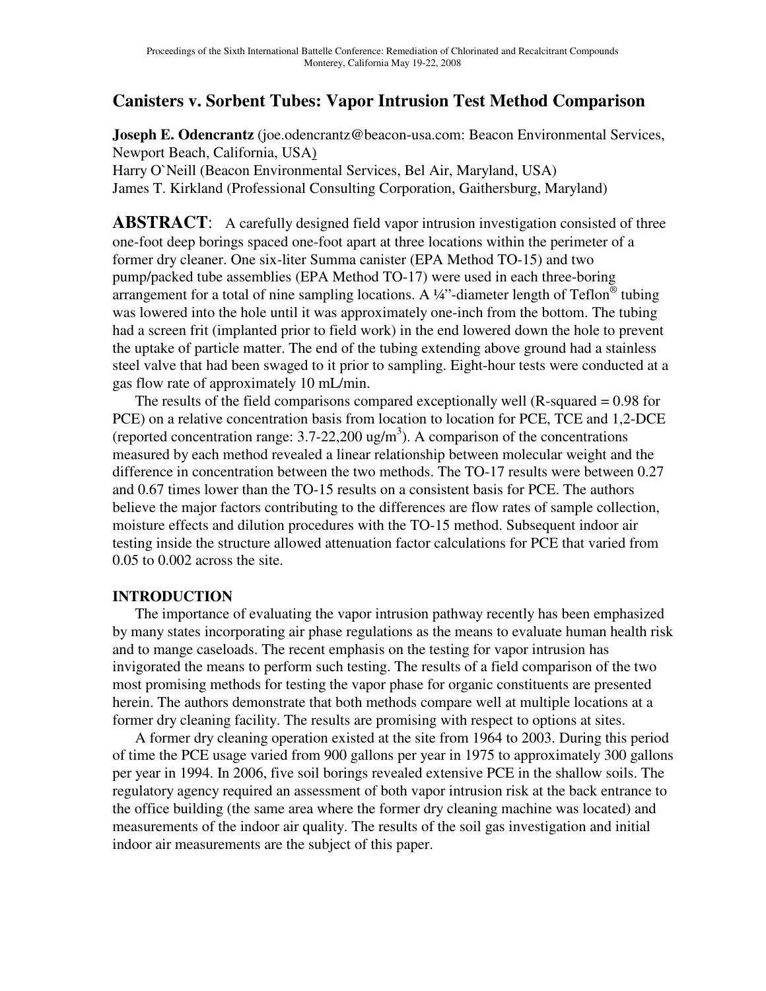# **Canisters v. Sorbent Tubes: Vapor Intrusion Test Method Comparison**

**Joseph E. Odencrantz** (joe.odencrantz@beacon-usa.com: Beacon Environmental Services, Newport Beach, California, USA) Harry O`Neill (Beacon Environmental Services, Bel Air, Maryland, USA) James T. Kirkland (Professional Consulting Corporation, Gaithersburg, Maryland)

**ABSTRACT:** A carefully designed field vapor intrusion investigation consisted of three one-foot deep borings spaced one-foot apart at three locations within the perimeter of a former dry cleaner. One six-liter Summa canister (EPA Method TO-15) and two pump/packed tube assemblies (EPA Method TO-17) were used in each three-boring arrangement for a total of nine sampling locations. A  $\frac{1}{4}$  -diameter length of Teflon<sup>®</sup> tubing was lowered into the hole until it was approximately one-inch from the bottom. The tubing had a screen frit (implanted prior to field work) in the end lowered down the hole to prevent the uptake of particle matter. The end of the tubing extending above ground had a stainless steel valve that had been swaged to it prior to sampling. Eight-hour tests were conducted at a gas flow rate of approximately 10 mL/min.

The results of the field comparisons compared exceptionally well (R-squared = 0.98 for PCE) on a relative concentration basis from location to location for PCE, TCE and 1,2-DCE (reported concentration range:  $3.7$ -22,200 ug/m<sup>3</sup>). A comparison of the concentrations measured by each method revealed a linear relationship between molecular weight and the difference in concentration between the two methods. The TO-17 results were between 0.27 and 0.67 times lower than the TO-15 results on a consistent basis for PCE. The authors believe the major factors contributing to the differences are flow rates of sample collection, moisture effects and dilution procedures with the TO-15 method. Subsequent indoor air testing inside the structure allowed attenuation factor calculations for PCE that varied from 0.05 to 0.002 across the site.

# **INTRODUCTION**

The importance of evaluating the vapor intrusion pathway recently has been emphasized by many states incorporating air phase regulations as the means to evaluate human health risk and to mange caseloads. The recent emphasis on the testing for vapor intrusion has invigorated the means to perform such testing. The results of a field comparison of the two most promising methods for testing the vapor phase for organic constituents are presented herein. The authors demonstrate that both methods compare well at multiple locations at a former dry cleaning facility. The results are promising with respect to options at sites.

A former dry cleaning operation existed at the site from 1964 to 2003. During this period of time the PCE usage varied from 900 gallons per year in 1975 to approximately 300 gallons per year in 1994. In 2006, five soil borings revealed extensive PCE in the shallow soils. The regulatory agency required an assessment of both vapor intrusion risk at the back entrance to the office building (the same area where the former dry cleaning machine was located) and measurements of the indoor air quality. The results of the soil gas investigation and initial indoor air measurements are the subject of this paper.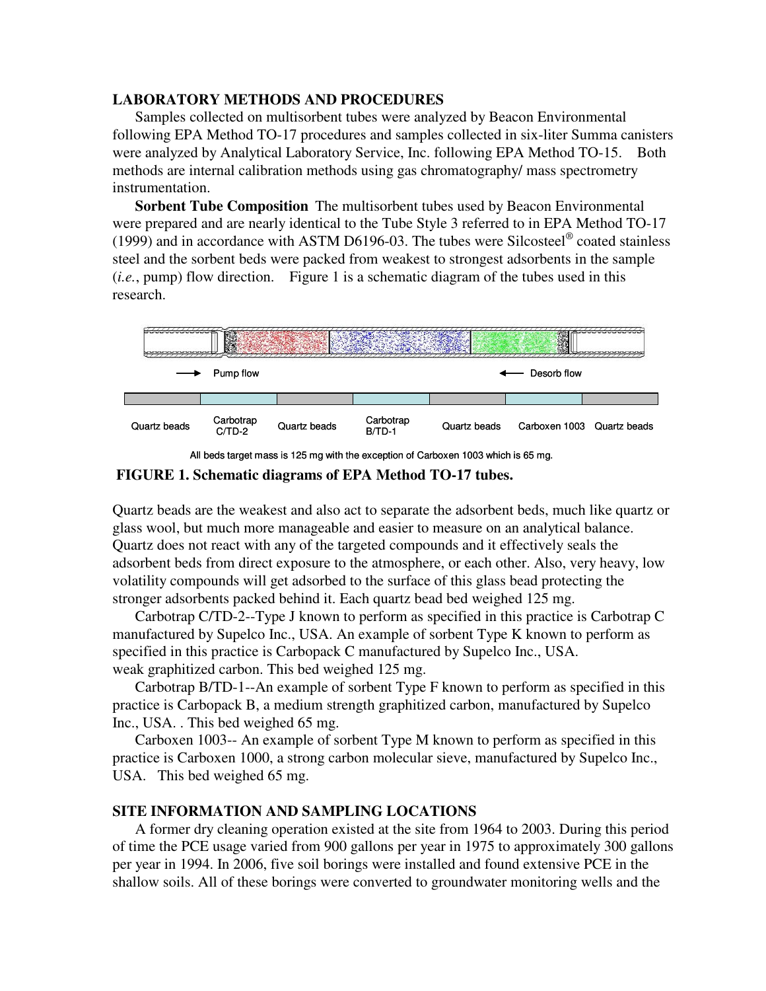### **LABORATORY METHODS AND PROCEDURES**

Samples collected on multisorbent tubes were analyzed by Beacon Environmental following EPA Method TO-17 procedures and samples collected in six-liter Summa canisters were analyzed by Analytical Laboratory Service, Inc. following EPA Method TO-15. Both methods are internal calibration methods using gas chromatography/ mass spectrometry instrumentation.

**Sorbent Tube Composition** The multisorbent tubes used by Beacon Environmental were prepared and are nearly identical to the Tube Style 3 referred to in EPA Method TO-17 (1999) and in accordance with ASTM D6196-03. The tubes were Silcosteel® coated stainless steel and the sorbent beds were packed from weakest to strongest adsorbents in the sample (*i.e.*, pump) flow direction. Figure 1 is a schematic diagram of the tubes used in this research.



All beds target mass is 125 mg with the exception of Carboxen 1003 which is 65 mg.

 **FIGURE 1. Schematic diagrams of EPA Method TO-17 tubes.** 

Quartz beads are the weakest and also act to separate the adsorbent beds, much like quartz or glass wool, but much more manageable and easier to measure on an analytical balance. Quartz does not react with any of the targeted compounds and it effectively seals the adsorbent beds from direct exposure to the atmosphere, or each other. Also, very heavy, low volatility compounds will get adsorbed to the surface of this glass bead protecting the stronger adsorbents packed behind it. Each quartz bead bed weighed 125 mg.

Carbotrap C/TD-2--Type J known to perform as specified in this practice is Carbotrap C manufactured by Supelco Inc., USA. An example of sorbent Type K known to perform as specified in this practice is Carbopack C manufactured by Supelco Inc., USA. weak graphitized carbon. This bed weighed 125 mg.

 Carbotrap B/TD-1--An example of sorbent Type F known to perform as specified in this practice is Carbopack B, a medium strength graphitized carbon, manufactured by Supelco Inc., USA. . This bed weighed 65 mg.

 Carboxen 1003-- An example of sorbent Type M known to perform as specified in this practice is Carboxen 1000, a strong carbon molecular sieve, manufactured by Supelco Inc., USA. This bed weighed 65 mg.

### **SITE INFORMATION AND SAMPLING LOCATIONS**

A former dry cleaning operation existed at the site from 1964 to 2003. During this period of time the PCE usage varied from 900 gallons per year in 1975 to approximately 300 gallons per year in 1994. In 2006, five soil borings were installed and found extensive PCE in the shallow soils. All of these borings were converted to groundwater monitoring wells and the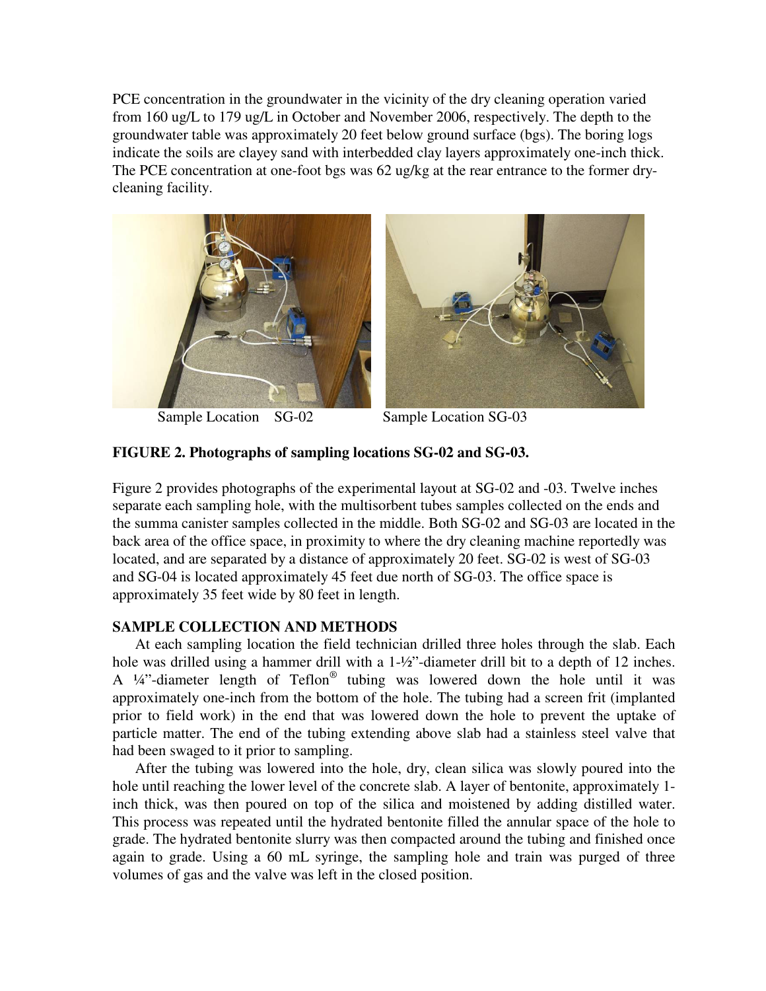PCE concentration in the groundwater in the vicinity of the dry cleaning operation varied from 160 ug/L to 179 ug/L in October and November 2006, respectively. The depth to the groundwater table was approximately 20 feet below ground surface (bgs). The boring logs indicate the soils are clayey sand with interbedded clay layers approximately one-inch thick. The PCE concentration at one-foot bgs was 62 ug/kg at the rear entrance to the former drycleaning facility.



Sample Location SG-02 Sample Location SG-03



# **FIGURE 2. Photographs of sampling locations SG-02 and SG-03.**

Figure 2 provides photographs of the experimental layout at SG-02 and -03. Twelve inches separate each sampling hole, with the multisorbent tubes samples collected on the ends and the summa canister samples collected in the middle. Both SG-02 and SG-03 are located in the back area of the office space, in proximity to where the dry cleaning machine reportedly was located, and are separated by a distance of approximately 20 feet. SG-02 is west of SG-03 and SG-04 is located approximately 45 feet due north of SG-03. The office space is approximately 35 feet wide by 80 feet in length.

# **SAMPLE COLLECTION AND METHODS**

At each sampling location the field technician drilled three holes through the slab. Each hole was drilled using a hammer drill with a 1-½"-diameter drill bit to a depth of 12 inches. A  $\frac{1}{4}$ "-diameter length of Teflon<sup>®</sup> tubing was lowered down the hole until it was approximately one-inch from the bottom of the hole. The tubing had a screen frit (implanted prior to field work) in the end that was lowered down the hole to prevent the uptake of particle matter. The end of the tubing extending above slab had a stainless steel valve that had been swaged to it prior to sampling.

After the tubing was lowered into the hole, dry, clean silica was slowly poured into the hole until reaching the lower level of the concrete slab. A layer of bentonite, approximately 1 inch thick, was then poured on top of the silica and moistened by adding distilled water. This process was repeated until the hydrated bentonite filled the annular space of the hole to grade. The hydrated bentonite slurry was then compacted around the tubing and finished once again to grade. Using a 60 mL syringe, the sampling hole and train was purged of three volumes of gas and the valve was left in the closed position.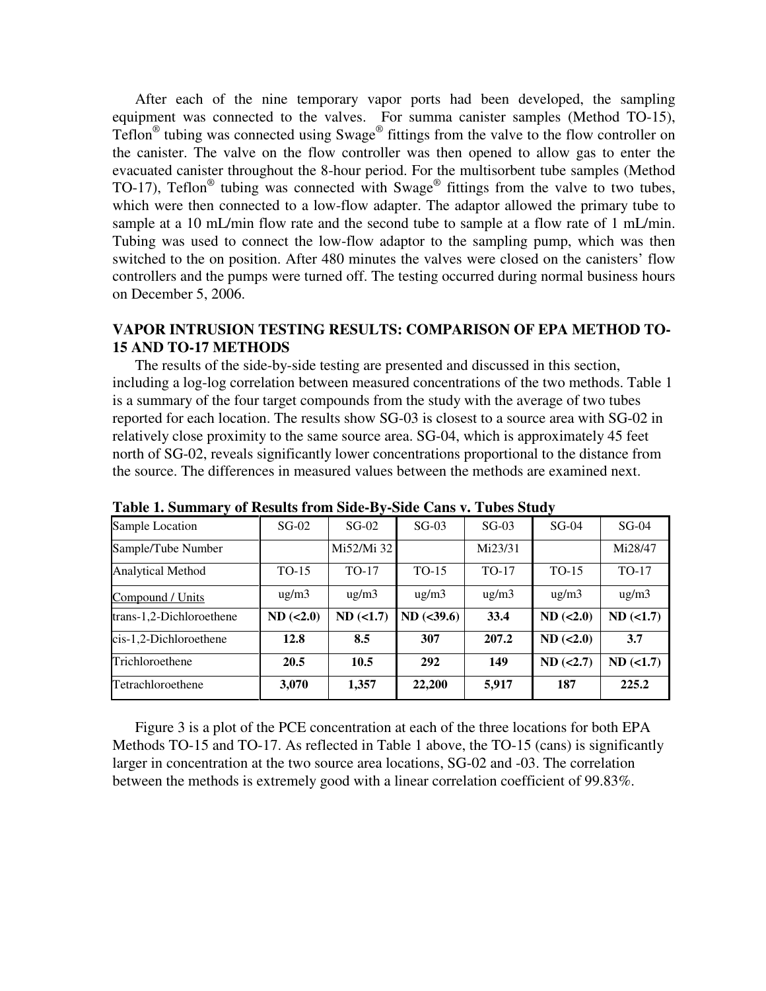After each of the nine temporary vapor ports had been developed, the sampling equipment was connected to the valves. For summa canister samples (Method TO-15), Teflon® tubing was connected using Swage® fittings from the valve to the flow controller on the canister. The valve on the flow controller was then opened to allow gas to enter the evacuated canister throughout the 8-hour period. For the multisorbent tube samples (Method TO-17), Teflon<sup>®</sup> tubing was connected with Swage<sup>®</sup> fittings from the valve to two tubes, which were then connected to a low-flow adapter. The adaptor allowed the primary tube to sample at a 10 mL/min flow rate and the second tube to sample at a flow rate of 1 mL/min. Tubing was used to connect the low-flow adaptor to the sampling pump, which was then switched to the on position. After 480 minutes the valves were closed on the canisters' flow controllers and the pumps were turned off. The testing occurred during normal business hours on December 5, 2006.

### **VAPOR INTRUSION TESTING RESULTS: COMPARISON OF EPA METHOD TO-15 AND TO-17 METHODS**

The results of the side-by-side testing are presented and discussed in this section, including a log-log correlation between measured concentrations of the two methods. Table 1 is a summary of the four target compounds from the study with the average of two tubes reported for each location. The results show SG-03 is closest to a source area with SG-02 in relatively close proximity to the same source area. SG-04, which is approximately 45 feet north of SG-02, reveals significantly lower concentrations proportional to the distance from the source. The differences in measured values between the methods are examined next.

| Tuble 1. Dummut y of Results from Diue Dy Diue Camp 1. Tubes Diuuy |                   |                   |                   |                   |                     |             |
|--------------------------------------------------------------------|-------------------|-------------------|-------------------|-------------------|---------------------|-------------|
| Sample Location                                                    | $SG-02$           | $SG-02$           | $SG-03$           | $SG-03$           | $SG-04$             | $SG-04$     |
| Sample/Tube Number                                                 |                   | Mi52/Mi 32        |                   | Mi23/31           |                     | Mi28/47     |
| <b>Analytical Method</b>                                           | TO-15             | $TO-17$           | $TO-15$           | <b>TO-17</b>      | $TO-15$             | TO-17       |
| Compound / Units                                                   | $\mu$ g/m $\beta$ | $\mu$ g/m $\beta$ | $\mu$ g/m $\beta$ | $\mu$ g/m $\beta$ | $\mu$ g/m $\lambda$ | ug/m3       |
| trans-1,2-Dichloroethene                                           | ND (<2.0)         | $ND$ (<1.7)       | $ND$ (<39.6)      | 33.4              | ND (<2.0)           | $ND$ (<1.7) |
| cis-1,2-Dichloroethene                                             | 12.8              | 8.5               | 307               | 207.2             | ND (<2.0)           | 3.7         |
| Trichloroethene                                                    | 20.5              | 10.5              | 292               | 149               | ND (<2.7)           | $ND$ (<1.7) |
| Tetrachloroethene                                                  | 3,070             | 1,357             | 22,200            | 5,917             | 187                 | 225.2       |

**Table 1. Summary of Results from Side-By-Side Cans v. Tubes Study** 

Figure 3 is a plot of the PCE concentration at each of the three locations for both EPA Methods TO-15 and TO-17. As reflected in Table 1 above, the TO-15 (cans) is significantly larger in concentration at the two source area locations, SG-02 and -03. The correlation between the methods is extremely good with a linear correlation coefficient of 99.83%.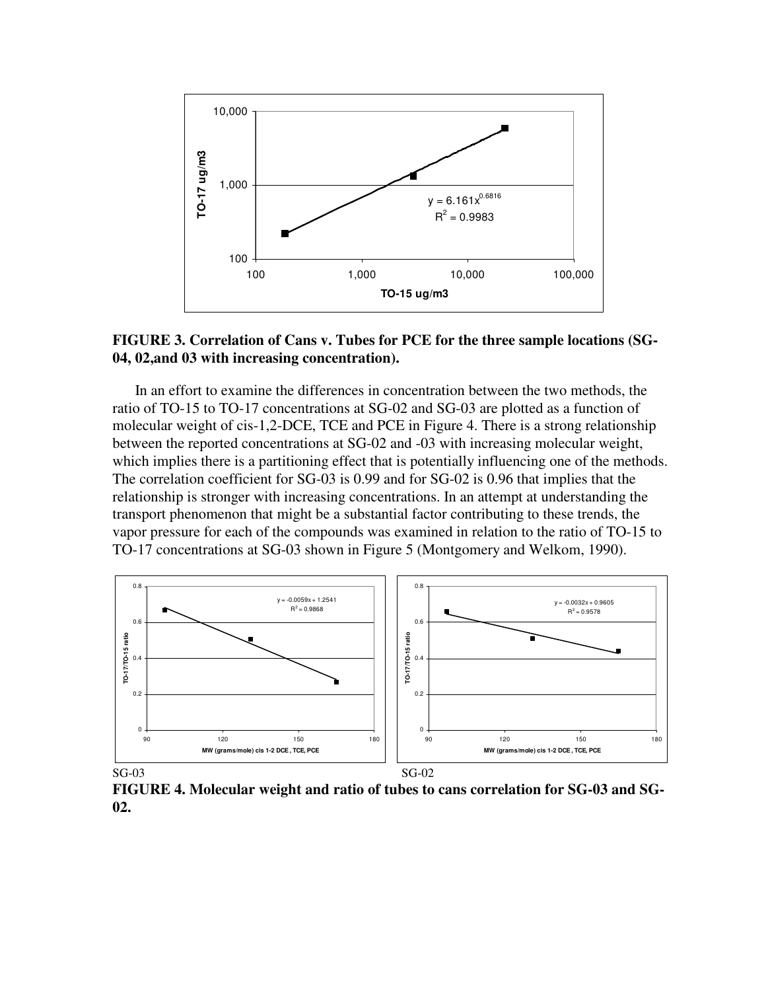

### **FIGURE 3. Correlation of Cans v. Tubes for PCE for the three sample locations (SG-04, 02,and 03 with increasing concentration).**

In an effort to examine the differences in concentration between the two methods, the ratio of TO-15 to TO-17 concentrations at SG-02 and SG-03 are plotted as a function of molecular weight of cis-1,2-DCE, TCE and PCE in Figure 4. There is a strong relationship between the reported concentrations at SG-02 and -03 with increasing molecular weight, which implies there is a partitioning effect that is potentially influencing one of the methods. The correlation coefficient for SG-03 is 0.99 and for SG-02 is 0.96 that implies that the relationship is stronger with increasing concentrations. In an attempt at understanding the transport phenomenon that might be a substantial factor contributing to these trends, the vapor pressure for each of the compounds was examined in relation to the ratio of TO-15 to TO-17 concentrations at SG-03 shown in Figure 5 (Montgomery and Welkom, 1990).



**FIGURE 4. Molecular weight and ratio of tubes to cans correlation for SG-03 and SG-02.**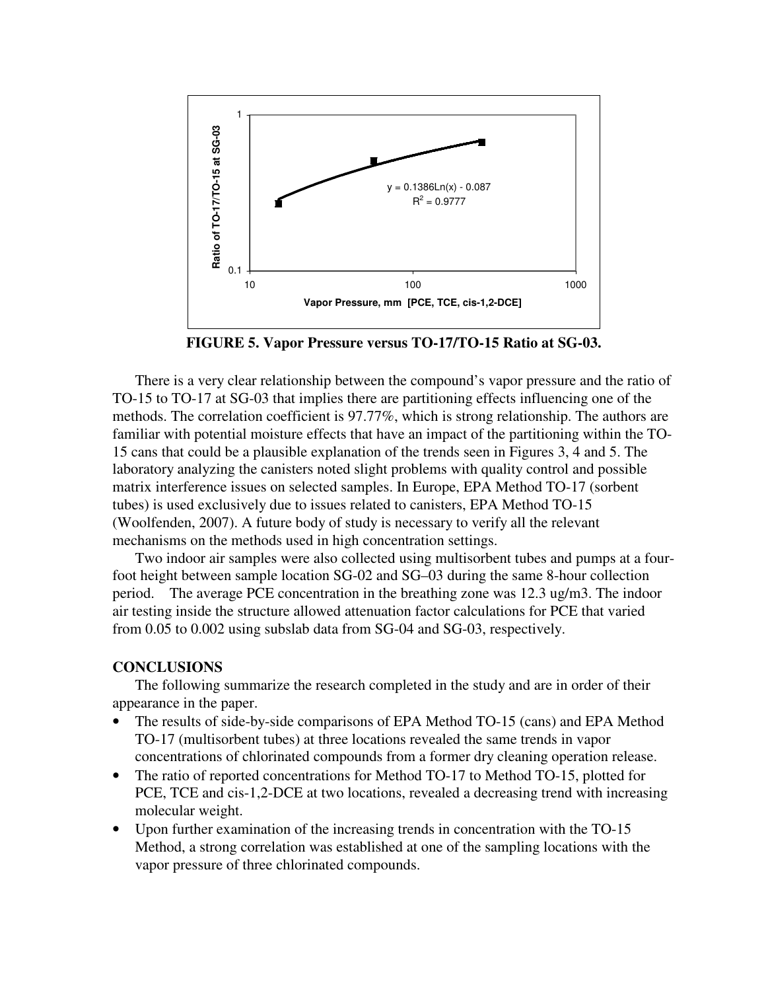

**FIGURE 5. Vapor Pressure versus TO-17/TO-15 Ratio at SG-03.** 

There is a very clear relationship between the compound's vapor pressure and the ratio of TO-15 to TO-17 at SG-03 that implies there are partitioning effects influencing one of the methods. The correlation coefficient is 97.77%, which is strong relationship. The authors are familiar with potential moisture effects that have an impact of the partitioning within the TO-15 cans that could be a plausible explanation of the trends seen in Figures 3, 4 and 5. The laboratory analyzing the canisters noted slight problems with quality control and possible matrix interference issues on selected samples. In Europe, EPA Method TO-17 (sorbent tubes) is used exclusively due to issues related to canisters, EPA Method TO-15 (Woolfenden, 2007). A future body of study is necessary to verify all the relevant mechanisms on the methods used in high concentration settings.

Two indoor air samples were also collected using multisorbent tubes and pumps at a fourfoot height between sample location SG-02 and SG–03 during the same 8-hour collection period. The average PCE concentration in the breathing zone was 12.3 ug/m3. The indoor air testing inside the structure allowed attenuation factor calculations for PCE that varied from 0.05 to 0.002 using subslab data from SG-04 and SG-03, respectively.

#### **CONCLUSIONS**

The following summarize the research completed in the study and are in order of their appearance in the paper.

- The results of side-by-side comparisons of EPA Method TO-15 (cans) and EPA Method TO-17 (multisorbent tubes) at three locations revealed the same trends in vapor concentrations of chlorinated compounds from a former dry cleaning operation release.
- The ratio of reported concentrations for Method TO-17 to Method TO-15, plotted for PCE, TCE and cis-1,2-DCE at two locations, revealed a decreasing trend with increasing molecular weight.
- Upon further examination of the increasing trends in concentration with the TO-15 Method, a strong correlation was established at one of the sampling locations with the vapor pressure of three chlorinated compounds.